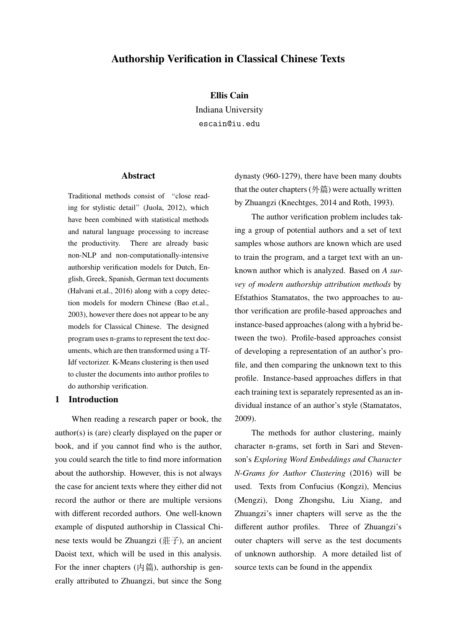# **Authorship Verification in Classical Chinese Texts**

#### **Ellis Cain**

Indiana University escain@iu.edu

### **Abstract**

Traditional methods consist of "close reading for stylistic detail"(Juola, 2012), which have been combined with statistical methods and natural language processing to increase the productivity. There are already basic non-NLP and non-computationally-intensive authorship verification models for Dutch, English, Greek, Spanish, German text documents (Halvani et.al., 2016) along with a copy detection models for modern Chinese (Bao et.al., 2003), however there does not appear to be any models for Classical Chinese. The designed program uses n-grams to represent the text documents, which are then transformed using a Tf-Idf vectorizer. K-Means clustering is then used to cluster the documents into author profiles to do authorship verification.

# **1 Introduction**

When reading a research paper or book, the author(s) is (are) clearly displayed on the paper or book, and if you cannot find who is the author, you could search the title to find more information about the authorship. However, this is not always the case for ancient texts where they either did not record the author or there are multiple versions with different recorded authors. One well-known example of disputed authorship in Classical Chinese texts would be Zhuangzi (莊子), an ancient Daoist text, which will be used in this analysis. For the inner chapters  $(\nabla \ddot{\mathbf{m}})$ , authorship is generally attributed to Zhuangzi, but since the Song

dynasty (960-1279), there have been many doubts that the outer chapters  $($ 外篇) were actually written by Zhuangzi (Knechtges, 2014 and Roth, 1993).

The author verification problem includes taking a group of potential authors and a set of text samples whose authors are known which are used to train the program, and a target text with an unknown author which is analyzed. Based on *A survey of modern authorship attribution methods* by Efstathios Stamatatos, the two approaches to author verification are profile-based approaches and instance-based approaches (along with a hybrid between the two). Profile-based approaches consist of developing a representation of an author's profile, and then comparing the unknown text to this profile. Instance-based approaches differs in that each training text is separately represented as an individual instance of an author's style (Stamatatos, 2009).

The methods for author clustering, mainly character n-grams, set forth in Sari and Stevenson's *Exploring Word Embeddings and Character N-Grams for Author Clustering* (2016) will be used. Texts from Confucius (Kongzi), Mencius (Mengzi), Dong Zhongshu, Liu Xiang, and Zhuangzi's inner chapters will serve as the the different author profiles. Three of Zhuangzi's outer chapters will serve as the test documents of unknown authorship. A more detailed list of source texts can be found in the appendix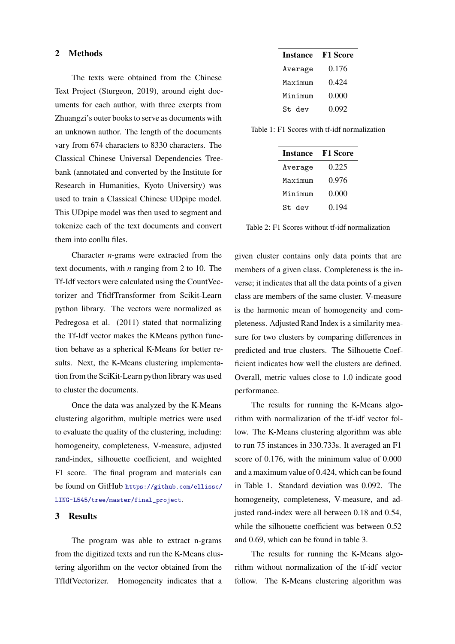### **2 Methods**

The texts were obtained from the Chinese Text Project (Sturgeon, 2019), around eight documents for each author, with three exerpts from Zhuangzi's outer books to serve as documents with an unknown author. The length of the documents vary from 674 characters to 8330 characters. The Classical Chinese Universal Dependencies Treebank (annotated and converted by the Institute for Research in Humanities, Kyoto University) was used to train a Classical Chinese UDpipe model. This UDpipe model was then used to segment and tokenize each of the text documents and convert them into conllu files.

Character *n*-grams were extracted from the text documents, with *n* ranging from 2 to 10. The Tf-Idf vectors were calculated using the CountVectorizer and TfidfTransformer from Scikit-Learn python library. The vectors were normalized as Pedregosa et al. (2011) stated that normalizing the Tf-Idf vector makes the KMeans python function behave as a spherical K-Means for better results. Next, the K-Means clustering implementation from the SciKit-Learn python library was used to cluster the documents.

Once the data was analyzed by the K-Means clustering algorithm, multiple metrics were used to evaluate the quality of the clustering, including: homogeneity, completeness, V-measure, adjusted rand-index, silhouette coefficient, and weighted F1 score. The final program and materials can be found on GitHub [https://github.com/ellissc/](https://github.com/ellissc/LING-L545/tree/master/final_project) [LING-L545/tree/master/final\\_project](https://github.com/ellissc/LING-L545/tree/master/final_project).

## **3 Results**

The program was able to extract n-grams from the digitized texts and run the K-Means clustering algorithm on the vector obtained from the TfIdfVectorizer. Homogeneity indicates that a

| <b>Instance</b> | <b>F1 Score</b> |  |  |
|-----------------|-----------------|--|--|
| Average         | 0.176           |  |  |
| Maximum         | 0.424           |  |  |
| Minimum         | 0.000           |  |  |
| St. dev         | 0.092           |  |  |

Table 1: F1 Scores with tf-idf normalization

| <b>F1 Score</b> |  |
|-----------------|--|
| 0.225           |  |
| 0.976           |  |
| 0.000           |  |
| 0.194           |  |
|                 |  |

Table 2: F1 Scores without tf-idf normalization

given cluster contains only data points that are members of a given class. Completeness is the inverse; it indicates that all the data points of a given class are members of the same cluster. V-measure is the harmonic mean of homogeneity and completeness. Adjusted Rand Index is a similarity measure for two clusters by comparing differences in predicted and true clusters. The Silhouette Coefficient indicates how well the clusters are defined. Overall, metric values close to 1.0 indicate good performance.

The results for running the K-Means algorithm with normalization of the tf-idf vector follow. The K-Means clustering algorithm was able to run 75 instances in 330.733s. It averaged an F1 score of 0.176, with the minimum value of 0.000 and a maximum value of 0.424, which can be found in Table 1. Standard deviation was 0.092. The homogeneity, completeness, V-measure, and adjusted rand-index were all between 0.18 and 0.54, while the silhouette coefficient was between  $0.52$ and 0.69, which can be found in table 3.

The results for running the K-Means algorithm without normalization of the tf-idf vector follow. The K-Means clustering algorithm was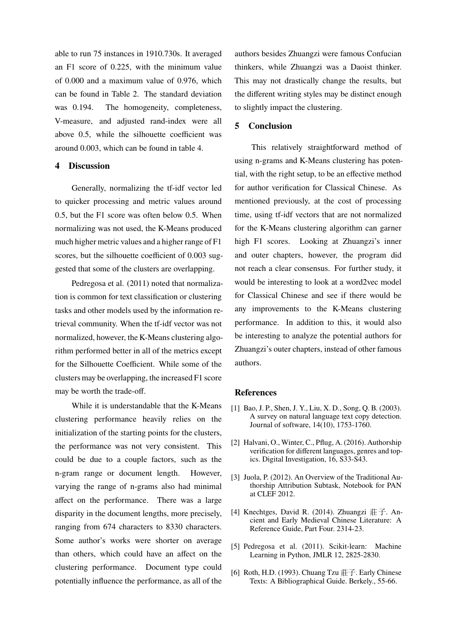able to run 75 instances in 1910.730s. It averaged an F1 score of 0.225, with the minimum value of 0.000 and a maximum value of 0.976, which can be found in Table 2. The standard deviation was 0.194. The homogeneity, completeness, V-measure, and adjusted rand-index were all above 0.5, while the silhouette coefficient was around 0.003, which can be found in table 4.

## **4 Discussion**

Generally, normalizing the tf-idf vector led to quicker processing and metric values around 0.5, but the F1 score was often below 0.5. When normalizing was not used, the K-Means produced much higher metric values and a higher range of F1 scores, but the silhouette coefficient of 0.003 suggested that some of the clusters are overlapping.

Pedregosa et al. (2011) noted that normalization is common for text classification or clustering tasks and other models used by the information retrieval community. When the tf-idf vector was not normalized, however, the K-Means clustering algorithm performed better in all of the metrics except for the Silhouette Coefficient. While some of the clusters may be overlapping, the increased F1 score may be worth the trade-off.

While it is understandable that the K-Means clustering performance heavily relies on the initialization of the starting points for the clusters, the performance was not very consistent. This could be due to a couple factors, such as the n-gram range or document length. However, varying the range of n-grams also had minimal affect on the performance. There was a large disparity in the document lengths, more precisely, ranging from 674 characters to 8330 characters. Some author's works were shorter on average than others, which could have an affect on the clustering performance. Document type could potentially influence the performance, as all of the authors besides Zhuangzi were famous Confucian thinkers, while Zhuangzi was a Daoist thinker. This may not drastically change the results, but the different writing styles may be distinct enough to slightly impact the clustering.

## **5 Conclusion**

This relatively straightforward method of using n-grams and K-Means clustering has potential, with the right setup, to be an effective method for author verification for Classical Chinese. As mentioned previously, at the cost of processing time, using tf-idf vectors that are not normalized for the K-Means clustering algorithm can garner high F1 scores. Looking at Zhuangzi's inner and outer chapters, however, the program did not reach a clear consensus. For further study, it would be interesting to look at a word2vec model for Classical Chinese and see if there would be any improvements to the K-Means clustering performance. In addition to this, it would also be interesting to analyze the potential authors for Zhuangzi's outer chapters, instead of other famous authors.

#### **References**

- [1] Bao, J. P., Shen, J. Y., Liu, X. D., Song, Q. B. (2003). A survey on natural language text copy detection. Journal of software, 14(10), 1753-1760.
- [2] Halvani, O., Winter, C., Pflug, A. (2016). Authorship verification for different languages, genres and topics. Digital Investigation, 16, S33-S43.
- [3] Juola, P. (2012). An Overview of the Traditional Authorship Attribution Subtask, Notebook for PAN at CLEF 2012.
- [4] Knechtges, David R. (2014). Zhuangzi 莊子. Ancient and Early Medieval Chinese Literature: A Reference Guide, Part Four. 2314-23.
- [5] Pedregosa et al. (2011). Scikit-learn: Machine Learning in Python, JMLR 12, 2825-2830.
- [6] Roth, H.D. (1993). Chuang Tzu 莊子. Early Chinese Texts: A Bibliographical Guide. Berkely., 55-66.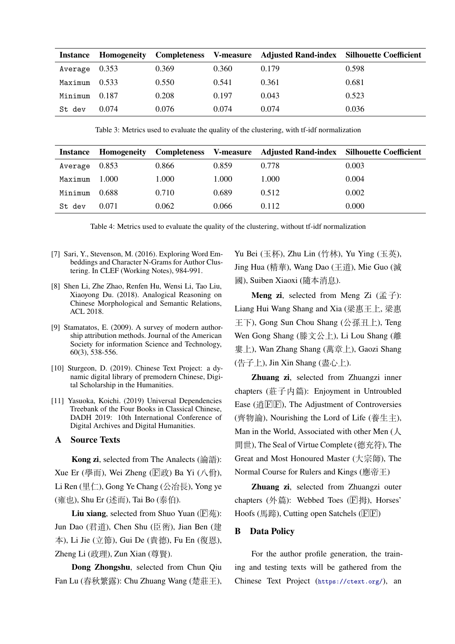| Instance              | Homogeneity |       |       | Completeness V-measure Adjusted Rand-index Silhouette Coefficient |       |
|-----------------------|-------------|-------|-------|-------------------------------------------------------------------|-------|
| Average 0.353         |             | 0.369 | 0.360 | 0.179                                                             | 0.598 |
| $Maximum \quad 0.533$ |             | 0.550 | 0.541 | 0.361                                                             | 0.681 |
| Minimum               | 0.187       | 0.208 | 0.197 | 0.043                                                             | 0.523 |
| St dev                | 0.074       | 0.076 | 0.074 | 0.074                                                             | 0.036 |

Table 3: Metrics used to evaluate the quality of the clustering, with tf-idf normalization

| <b>Instance</b> | Homogeneity |       |       | Completeness V-measure Adjusted Rand-index Silhouette Coefficient |       |
|-----------------|-------------|-------|-------|-------------------------------------------------------------------|-------|
| Average 0.853   |             | 0.866 | 0.859 | 0.778                                                             | 0.003 |
| Maximum         | 1.000       | 1.000 | 1.000 | 1.000                                                             | 0.004 |
| Minimum         | 0.688       | 0.710 | 0.689 | 0.512                                                             | 0.002 |
| St dev          | 0.071       | 0.062 | 0.066 | 0.112                                                             | 0.000 |

Table 4: Metrics used to evaluate the quality of the clustering, without tf-idf normalization

- [7] Sari, Y., Stevenson, M. (2016). Exploring Word Embeddings and Character N-Grams for Author Clustering. In CLEF (Working Notes), 984-991.
- [8] Shen Li, Zhe Zhao, Renfen Hu, Wensi Li, Tao Liu, Xiaoyong Du. (2018). Analogical Reasoning on Chinese Morphological and Semantic Relations, ACL 2018.
- [9] Stamatatos, E. (2009). A survey of modern authorship attribution methods. Journal of the American Society for information Science and Technology, 60(3), 538-556.
- [10] Sturgeon, D. (2019). Chinese Text Project: a dynamic digital library of premodern Chinese, Digital Scholarship in the Humanities.
- [11] Yasuoka, Koichi. (2019) Universal Dependencies Treebank of the Four Books in Classical Chinese, DADH 2019: 10th International Conference of Digital Archives and Digital Humanities.

### **A Source Texts**

**Kong zi**, selected from The Analects (論語): Xue Er (學而), Wei Zheng ( $\overline{\mathbb{F}}$ 政) Ba Yi (八佾), Li Ren (里仁), Gong Ye Chang (公冶長), Yong ye (雍也), Shu Er (述而), Tai Bo (泰伯).

**Liu xiang**, selected from Shuo Yuan ( $\boxed{\text{F}}\ddot{\text{m}}$ ): Jun Dao (君道), Chen Shu (臣術), Jian Ben (建 本), Li Jie (立節), Gui De (貴德), Fu En (復恩), Zheng Li (政理), Zun Xian (尊賢).

**Dong Zhongshu**, selected from Chun Qiu Fan Lu (春秋繁露): Chu Zhuang Wang (楚莊王),

Yu Bei (玉杯), Zhu Lin (竹林), Yu Ying (玉英), Jing Hua (精華), Wang Dao (王道), Mie Guo (滅 國), Suiben Xiaoxi (隨本消息).

**Meng zi**, selected from Meng Zi (孟子): Liang Hui Wang Shang and Xia (梁惠王上, 梁惠 王下), Gong Sun Chou Shang (公孫丑上), Teng Wen Gong Shang (滕文公上), Li Lou Shang (離 婁上), Wan Zhang Shang (萬章上), Gaozi Shang (告子上), Jin Xin Shang (盡心上).

**Zhuang zi**, selected from Zhuangzi inner chapters (莊子内篇): Enjoyment in Untroubled Ease ( $\frac{18}{12}$ [ $\frac{18}{12}$ ]), The Adjustment of Controversies (齊物論), Nourishing the Lord of Life (養生主), Man in the World, Associated with other Men (人 間世), The Seal of Virtue Complete (德充符), The Great and Most Honoured Master (大宗師), The Normal Course for Rulers and Kings (應帝王)

**Zhuang zi**, selected from Zhuangzi outer chapters  $(\frac{1}{2})$ : Webbed Toes ( $\boxed{F}$ 拇), Horses' Hoofs (馬蹄), Cutting open Satchels ( $\overline{\mathrm{F}|\mathrm{F}}$ )

#### **B Data Policy**

For the author profile generation, the training and testing texts will be gathered from the Chinese Text Project (<https://ctext.org/>), an